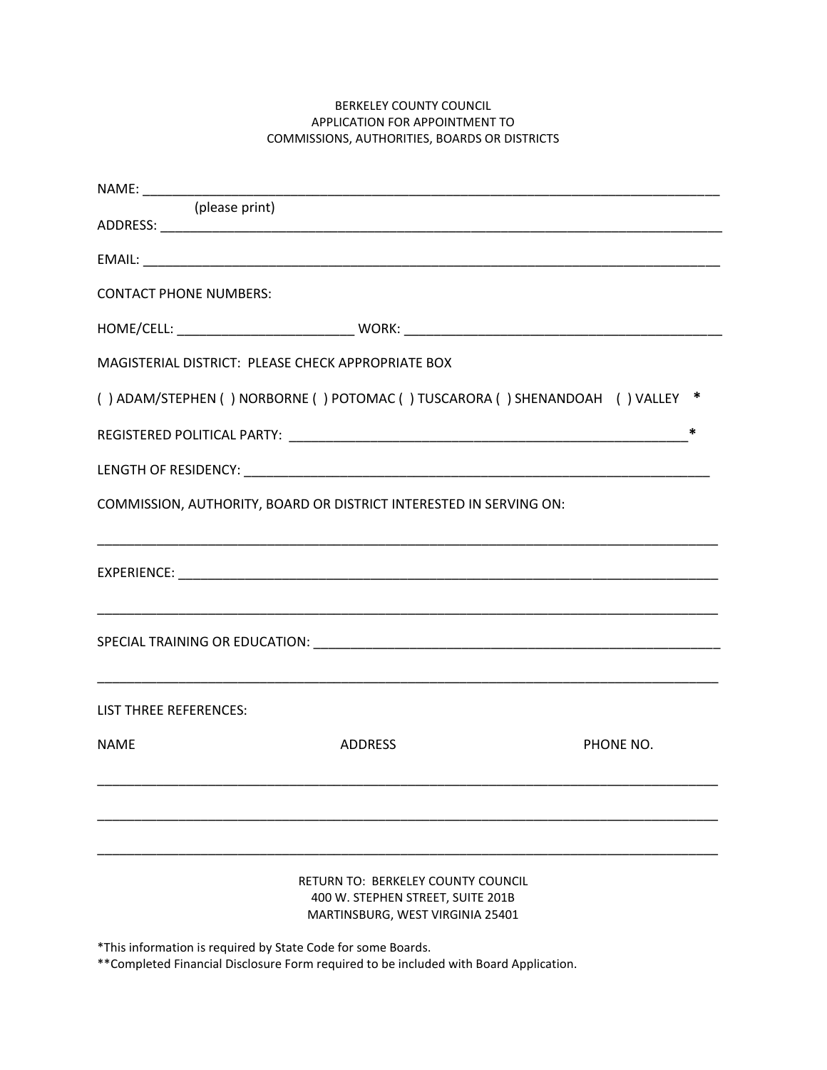## BERKELEY COUNTY COUNCIL APPLICATION FOR APPOINTMENT TO COMMISSIONS, AUTHORITIES, BOARDS OR DISTRICTS

| (please print)                |                                                                                                                       |           |
|-------------------------------|-----------------------------------------------------------------------------------------------------------------------|-----------|
|                               |                                                                                                                       |           |
| <b>CONTACT PHONE NUMBERS:</b> |                                                                                                                       |           |
|                               |                                                                                                                       |           |
|                               | MAGISTERIAL DISTRICT: PLEASE CHECK APPROPRIATE BOX                                                                    |           |
|                               | () ADAM/STEPHEN () NORBORNE () POTOMAC () TUSCARORA () SHENANDOAH () VALLEY *                                         |           |
|                               |                                                                                                                       | *         |
|                               |                                                                                                                       |           |
|                               | COMMISSION, AUTHORITY, BOARD OR DISTRICT INTERESTED IN SERVING ON:                                                    |           |
|                               |                                                                                                                       |           |
|                               |                                                                                                                       |           |
| LIST THREE REFERENCES:        | <u> 1989 - Johann Harry Harry Harry Harry Harry Harry Harry Harry Harry Harry Harry Harry Harry Harry Harry Harry</u> |           |
| <b>NAME</b>                   | <b>ADDRESS</b>                                                                                                        | PHONE NO. |
|                               |                                                                                                                       |           |
|                               | RETURN TO: BERKELEY COUNTY COUNCIL<br>400 W. STEPHEN STREET, SUITE 201B<br>MARTINSBURG, WEST VIRGINIA 25401           |           |

\*This information is required by State Code for some Boards.

\*\*Completed Financial Disclosure Form required to be included with Board Application.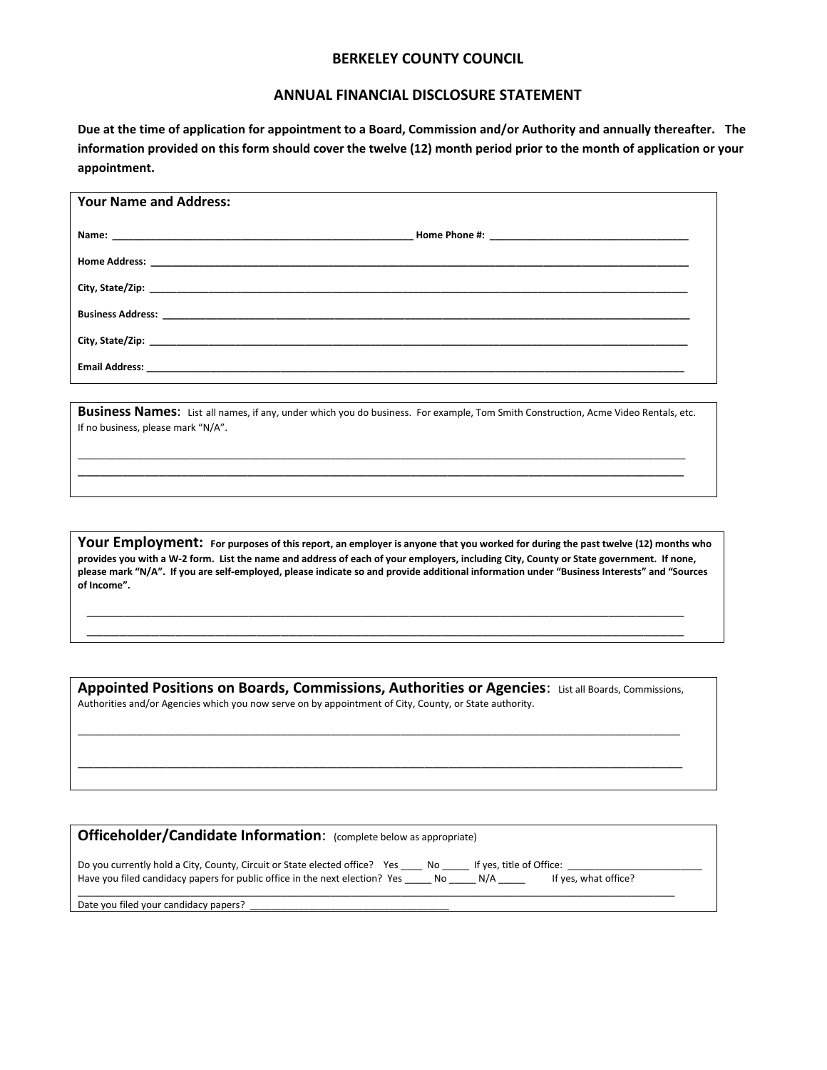## **BERKELEY COUNTY COUNCIL**

## **ANNUAL FINANCIAL DISCLOSURE STATEMENT**

**Due at the time of application for appointment to a Board, Commission and/or Authority and annually thereafter. The information provided on this form should cover the twelve (12) month period prior to the month of application or your appointment.**

| <b>Your Name and Address:</b> |  |  |  |  |  |
|-------------------------------|--|--|--|--|--|
|                               |  |  |  |  |  |
|                               |  |  |  |  |  |
|                               |  |  |  |  |  |
|                               |  |  |  |  |  |
|                               |  |  |  |  |  |
|                               |  |  |  |  |  |

**Business Names**: List all names, if any, under which you do business. For example, Tom Smith Construction, Acme Video Rentals, etc. If no business, please mark "N/A".

\_\_\_\_\_\_\_\_\_\_\_\_\_\_\_\_\_\_\_\_\_\_\_\_\_\_\_\_\_\_\_\_\_\_\_\_\_\_\_\_\_\_\_\_\_\_\_\_\_\_\_\_\_\_\_\_\_\_\_\_\_\_\_\_\_\_\_\_\_\_\_\_\_\_\_\_\_\_\_\_\_\_\_\_\_\_\_\_\_\_\_\_\_\_\_\_\_\_\_\_\_\_\_\_\_\_\_\_\_\_\_\_\_ \_\_\_\_\_\_\_\_\_\_\_\_\_\_\_\_\_\_\_\_\_\_\_\_\_\_\_\_\_\_\_\_\_\_\_\_\_\_\_\_\_\_\_\_\_\_\_\_\_\_\_\_\_\_\_\_\_\_\_\_\_\_\_\_\_\_\_\_\_\_\_\_\_\_\_\_\_\_\_\_\_\_

**Your Employment: For purposes of this report, an employer is anyone that you worked for during the past twelve (12) months who provides you with a W-2 form. List the name and address of each of your employers, including City, County or State government. If none, please mark "N/A". If you are self-employed, please indicate so and provide additional information under "Business Interests" and "Sources of Income".**

Appointed Positions on Boards, Commissions, Authorities or Agencies: List all Boards, Commissions, Authorities and/or Agencies which you now serve on by appointment of City, County, or State authority.

\_\_\_\_\_\_\_\_\_\_\_\_\_\_\_\_\_\_\_\_\_\_\_\_\_\_\_\_\_\_\_\_\_\_\_\_\_\_\_\_\_\_\_\_\_\_\_\_\_\_\_\_\_\_\_\_\_\_\_\_\_\_\_\_\_\_\_\_\_\_\_\_\_\_\_\_\_\_\_\_\_\_\_\_\_\_\_\_\_\_\_\_\_\_\_\_\_\_\_\_\_\_\_\_\_\_\_\_\_\_\_\_

\_\_\_\_\_\_\_\_\_\_\_\_\_\_\_\_\_\_\_\_\_\_\_\_\_\_\_\_\_\_\_\_\_\_\_\_\_\_\_\_\_\_\_\_\_\_\_\_\_\_\_\_\_\_\_\_\_\_\_\_\_\_\_\_\_\_\_\_\_\_\_\_\_\_\_

\_\_\_\_\_\_\_\_\_\_\_\_\_\_\_\_\_\_\_\_\_\_\_\_\_\_\_\_\_\_\_\_\_\_\_\_\_\_\_\_\_\_\_\_\_\_\_\_\_\_\_\_\_\_\_\_\_\_\_\_\_\_\_\_\_\_\_\_\_\_\_\_\_\_\_\_\_\_\_\_\_\_\_\_\_\_\_\_\_\_\_\_\_\_\_\_\_\_\_\_\_\_\_\_\_\_\_\_\_\_\_ \_\_\_\_\_\_\_\_\_\_\_\_\_\_\_\_\_\_\_\_\_\_\_\_\_\_\_\_\_\_\_\_\_\_\_\_\_\_\_\_\_\_\_\_\_\_\_\_\_\_\_\_\_\_\_\_\_\_\_\_\_\_\_\_\_\_\_\_\_\_\_\_\_\_

| Officeholder/Candidate Information: (complete below as appropriate)                                                                                                                                                  |  |  |  |  |  |  |  |
|----------------------------------------------------------------------------------------------------------------------------------------------------------------------------------------------------------------------|--|--|--|--|--|--|--|
| Do you currently hold a City, County, Circuit or State elected office? Yes No lf yes, title of Office:<br>Have you filed candidacy papers for public office in the next election? Yes No N/A<br>If yes, what office? |  |  |  |  |  |  |  |
| Date you filed your candidacy papers?                                                                                                                                                                                |  |  |  |  |  |  |  |